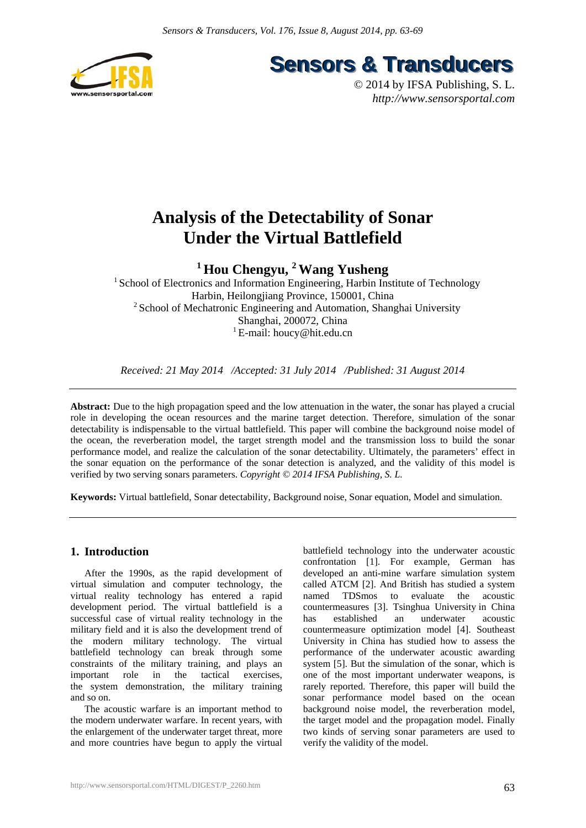

**Sensors & Transducers** 

© 2014 by IFSA Publishing, S. L. *http://www.sensorsportal.com*

# **Analysis of the Detectability of Sonar Under the Virtual Battlefield**

**1 Hou Chengyu, 2 Wang Yusheng** 

<sup>1</sup> School of Electronics and Information Engineering, Harbin Institute of Technology Harbin, Heilongjiang Province, 150001, China <sup>2</sup> School of Mechatronic Engineering and Automation, Shanghai University Shanghai, 200072, China <sup>1</sup> E-mail: houcy@hit.edu.cn

*Received: 21 May 2014 /Accepted: 31 July 2014 /Published: 31 August 2014* 

**Abstract:** Due to the high propagation speed and the low attenuation in the water, the sonar has played a crucial role in developing the ocean resources and the marine target detection. Therefore, simulation of the sonar detectability is indispensable to the virtual battlefield. This paper will combine the background noise model of the ocean, the reverberation model, the target strength model and the transmission loss to build the sonar performance model, and realize the calculation of the sonar detectability. Ultimately, the parameters' effect in the sonar equation on the performance of the sonar detection is analyzed, and the validity of this model is verified by two serving sonars parameters. *Copyright © 2014 IFSA Publishing, S. L.*

**Keywords:** Virtual battlefield, Sonar detectability, Background noise, Sonar equation, Model and simulation.

# **1. Introduction**

After the 1990s, as the rapid development of virtual simulation and computer technology, the virtual reality technology has entered a rapid development period. The virtual battlefield is a successful case of virtual reality technology in the military field and it is also the development trend of the modern military technology. The virtual battlefield technology can break through some constraints of the military training, and plays an important role in the tactical exercises, the system demonstration, the military training and so on.

The acoustic warfare is an important method to the modern underwater warfare. In recent years, with the enlargement of the underwater target threat, more and more countries have begun to apply the virtual battlefield technology into the underwater acoustic confrontation [1]. For example, German has developed an anti-mine warfare simulation system called ATCM [2]. And British has studied a system named TDSmos to evaluate the acoustic countermeasures [3]. Tsinghua University in China has established an underwater acoustic countermeasure optimization model [4]. Southeast University in China has studied how to assess the performance of the underwater acoustic awarding system [5]. But the simulation of the sonar, which is one of the most important underwater weapons, is rarely reported. Therefore, this paper will build the sonar performance model based on the ocean background noise model, the reverberation model, the target model and the propagation model. Finally two kinds of serving sonar parameters are used to verify the validity of the model.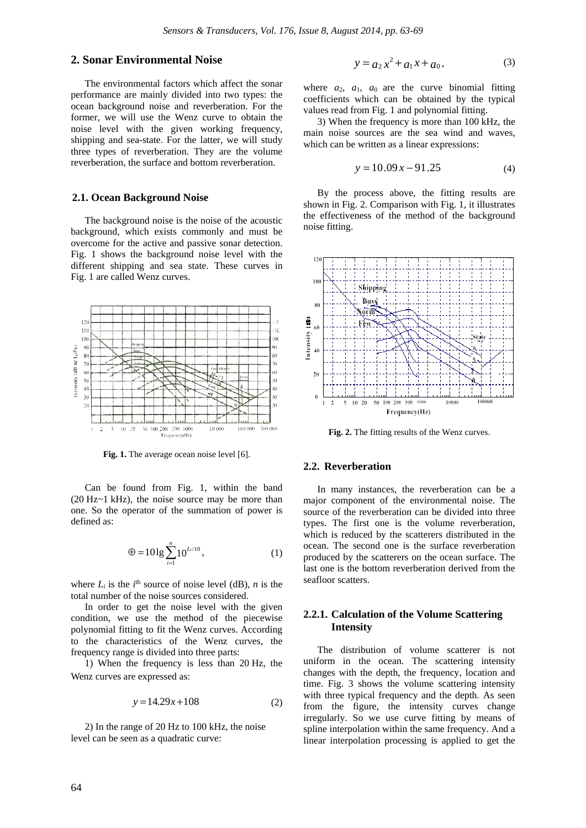## **2. Sonar Environmental Noise**

The environmental factors which affect the sonar performance are mainly divided into two types: the ocean background noise and reverberation. For the former, we will use the Wenz curve to obtain the noise level with the given working frequency, shipping and sea-state. For the latter, we will study three types of reverberation. They are the volume reverberation, the surface and bottom reverberation.

#### **2.1. Ocean Background Noise**

The background noise is the noise of the acoustic background, which exists commonly and must be overcome for the active and passive sonar detection. Fig. 1 shows the background noise level with the different shipping and sea state. These curves in Fig. 1 are called Wenz curves.



**Fig. 1.** The average ocean noise level [6].

Can be found from Fig. 1, within the band (20 Hz~1 kHz), the noise source may be more than one. So the operator of the summation of power is defined as:

$$
\oplus = 10 \lg \sum_{i=1}^{n} 10^{L/10}, \tag{1}
$$

where  $L_i$  is the  $i^{\text{th}}$  source of noise level (dB), *n* is the total number of the noise sources considered.

In order to get the noise level with the given condition, we use the method of the piecewise polynomial fitting to fit the Wenz curves. According to the characteristics of the Wenz curves, the frequency range is divided into three parts:

1) When the frequency is less than 20 Hz, the Wenz curves are expressed as:

$$
y = 14.29x + 108\tag{2}
$$

2) In the range of 20 Hz to 100 kHz, the noise level can be seen as a quadratic curve:

$$
y = a_2 x^2 + a_1 x + a_0,
$$
 (3)

where  $a_2$ ,  $a_1$ ,  $a_0$  are the curve binomial fitting coefficients which can be obtained by the typical values read from Fig. 1 and polynomial fitting.

3) When the frequency is more than 100 kHz, the main noise sources are the sea wind and waves, which can be written as a linear expressions:

$$
y = 10.09x - 91.25\tag{4}
$$

By the process above, the fitting results are shown in Fig. 2. Comparison with Fig. 1, it illustrates the effectiveness of the method of the background noise fitting.



**Fig. 2.** The fitting results of the Wenz curves.

#### **2.2. Reverberation**

In many instances, the reverberation can be a major component of the environmental noise. The source of the reverberation can be divided into three types. The first one is the volume reverberation, which is reduced by the scatterers distributed in the ocean. The second one is the surface reverberation produced by the scatterers on the ocean surface. The last one is the bottom reverberation derived from the seafloor scatters.

## **2.2.1. Calculation of the Volume Scattering Intensity**

The distribution of volume scatterer is not uniform in the ocean. The scattering intensity changes with the depth, the frequency, location and time. Fig. 3 shows the volume scattering intensity with three typical frequency and the depth. As seen from the figure, the intensity curves change irregularly. So we use curve fitting by means of spline interpolation within the same frequency. And a linear interpolation processing is applied to get the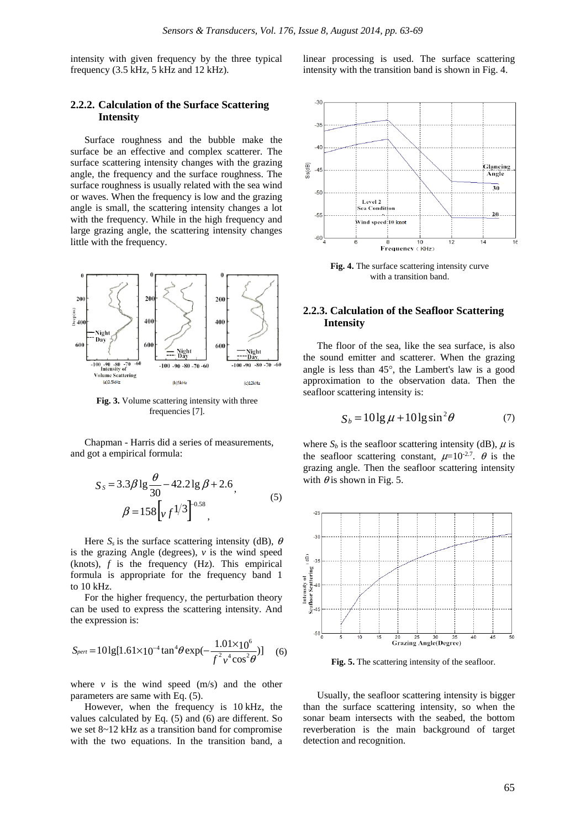intensity with given frequency by the three typical frequency (3.5 kHz, 5 kHz and 12 kHz).

#### **2.2.2. Calculation of the Surface Scattering Intensity**

Surface roughness and the bubble make the surface be an effective and complex scatterer. The surface scattering intensity changes with the grazing angle, the frequency and the surface roughness. The surface roughness is usually related with the sea wind or waves. When the frequency is low and the grazing angle is small, the scattering intensity changes a lot with the frequency. While in the high frequency and large grazing angle, the scattering intensity changes little with the frequency.



**Fig. 3.** Volume scattering intensity with three frequencies [7].

Chapman - Harris did a series of measurements, and got a empirical formula:

$$
S_{S} = 3.3\beta \lg \frac{\theta}{30} - 42.2 \lg \beta + 2.6,
$$
  

$$
\beta = 158 \left[ v f^{1/3} \right]^{0.58},
$$
 (5)

Here  $S_s$  is the surface scattering intensity (dB),  $\theta$ is the grazing Angle (degrees),  $\nu$  is the wind speed (knots), *f* is the frequency (Hz). This empirical formula is appropriate for the frequency band 1 to 10 kHz.

For the higher frequency, the perturbation theory can be used to express the scattering intensity. And the expression is:

$$
S_{pert} = 101g[1.61 \times 10^{-4} \tan^4 \theta \exp(-\frac{1.01 \times 10^6}{f^2 v^4 \cos^2 \theta})]
$$
 (6)

where  $v$  is the wind speed  $(m/s)$  and the other parameters are same with Eq. (5).

However, when the frequency is 10 kHz, the values calculated by Eq. (5) and (6) are different. So we set 8~12 kHz as a transition band for compromise with the two equations. In the transition band, a



**Fig. 4.** The surface scattering intensity curve with a transition band.

## **2.2.3. Calculation of the Seafloor Scattering Intensity**

The floor of the sea, like the sea surface, is also the sound emitter and scatterer. When the grazing angle is less than 45°, the Lambert's law is a good approximation to the observation data. Then the seafloor scattering intensity is:

$$
S_b = 10 \lg \mu + 10 \lg \sin^2 \theta \tag{7}
$$

where  $S_b$  is the seafloor scattering intensity (dB),  $\mu$  is the seafloor scattering constant,  $\mu=10^{-2.7}$ .  $\theta$  is the grazing angle. Then the seafloor scattering intensity with  $\theta$  is shown in Fig. 5.



**Fig. 5.** The scattering intensity of the seafloor.

Usually, the seafloor scattering intensity is bigger than the surface scattering intensity, so when the sonar beam intersects with the seabed, the bottom reverberation is the main background of target detection and recognition.

linear processing is used. The surface scattering intensity with the transition band is shown in Fig. 4.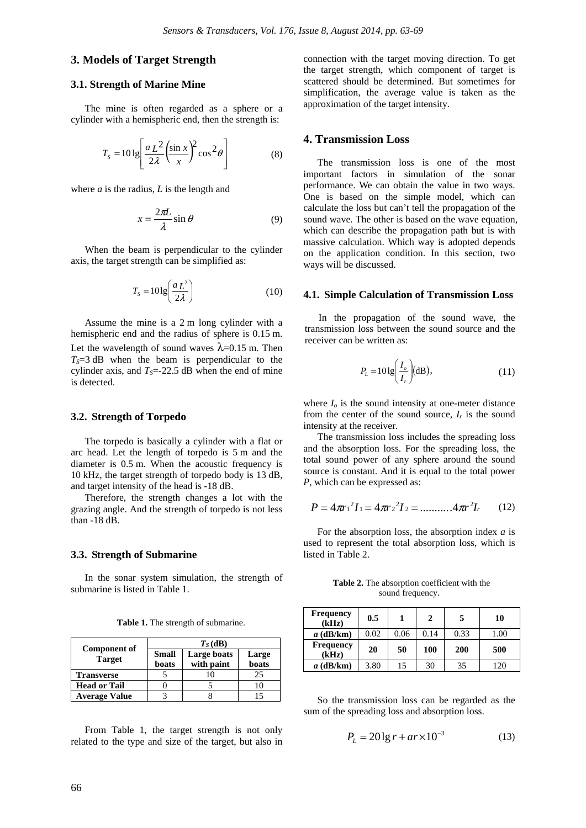## **3. Models of Target Strength**

#### **3.1. Strength of Marine Mine**

The mine is often regarded as a sphere or a cylinder with a hemispheric end, then the strength is:

$$
T_s = 10 \lg \left[ \frac{a \, L^2}{2\lambda} \left( \frac{\sin x}{x} \right)^2 \cos^2 \theta \right] \tag{8}
$$

where *a* is the radius, *L* is the length and

$$
x = \frac{2\pi L}{\lambda} \sin \theta \tag{9}
$$

When the beam is perpendicular to the cylinder axis, the target strength can be simplified as:

$$
T_s = 10 \lg \left( \frac{a \, L^2}{2 \lambda} \right) \tag{10}
$$

Assume the mine is a 2 m long cylinder with a hemispheric end and the radius of sphere is 0.15 m. Let the wavelength of sound waves  $\lambda$ =0.15 m. Then  $T<sub>S</sub>=3$  dB when the beam is perpendicular to the cylinder axis, and  $T_s$ =-22.5 dB when the end of mine is detected.

#### **3.2. Strength of Torpedo**

The torpedo is basically a cylinder with a flat or arc head. Let the length of torpedo is 5 m and the diameter is 0.5 m. When the acoustic frequency is 10 kHz, the target strength of torpedo body is 13 dB, and target intensity of the head is -18 dB.

Therefore, the strength changes a lot with the grazing angle. And the strength of torpedo is not less than -18 dB.

#### **3.3. Strength of Submarine**

In the sonar system simulation, the strength of submarine is listed in Table 1.

| <b>Component of</b><br><b>Target</b> | $T_S$ (dB)            |                           |                |  |
|--------------------------------------|-----------------------|---------------------------|----------------|--|
|                                      | <b>Small</b><br>boats | Large boats<br>with paint | Large<br>boats |  |
| <b>Transverse</b>                    |                       |                           | 25             |  |
| <b>Head or Tail</b>                  |                       |                           |                |  |
| <b>Average Value</b>                 |                       |                           |                |  |

**Table 1.** The strength of submarine.

From Table 1, the target strength is not only related to the type and size of the target, but also in connection with the target moving direction. To get the target strength, which component of target is scattered should be determined. But sometimes for simplification, the average value is taken as the approximation of the target intensity.

## **4. Transmission Loss**

The transmission loss is one of the most important factors in simulation of the sonar performance. We can obtain the value in two ways. One is based on the simple model, which can calculate the loss but can't tell the propagation of the sound wave. The other is based on the wave equation, which can describe the propagation path but is with massive calculation. Which way is adopted depends on the application condition. In this section, two ways will be discussed.

#### **4.1. Simple Calculation of Transmission Loss**

In the propagation of the sound wave, the transmission loss between the sound source and the receiver can be written as:

$$
P_L = 10 \lg \left( \frac{I_o}{I_r} \right) \text{(dB)},\tag{11}
$$

where  $I<sub>o</sub>$  is the sound intensity at one-meter distance from the center of the sound source,  $I_r$  is the sound intensity at the receiver.

The transmission loss includes the spreading loss and the absorption loss. For the spreading loss, the total sound power of any sphere around the sound source is constant. And it is equal to the total power *P*, which can be expressed as:

$$
P = 4\pi r_1^2 I_1 = 4\pi r_2^2 I_2 = \dots \dots \dots 4\pi r^2 I_r \qquad (12)
$$

For the absorption loss, the absorption index *a* is used to represent the total absorption loss, which is listed in Table 2.

**Table 2.** The absorption coefficient with the sound frequency.

| <b>Frequency</b><br>(kHz) | 0.5  |      | 2    | 5    | 10   |
|---------------------------|------|------|------|------|------|
| $a$ (dB/km)               | 0.02 | 0.06 | 0.14 | 0.33 | 1.00 |
| <b>Frequency</b><br>(kHz) | 20   | 50   | 100  | 200  | 500  |
| $a$ (dB/km)               | 3.80 | 15   | 30   | 35   | 120  |

So the transmission loss can be regarded as the sum of the spreading loss and absorption loss.

$$
P_{L} = 201g r + ar \times 10^{-3}
$$
 (13)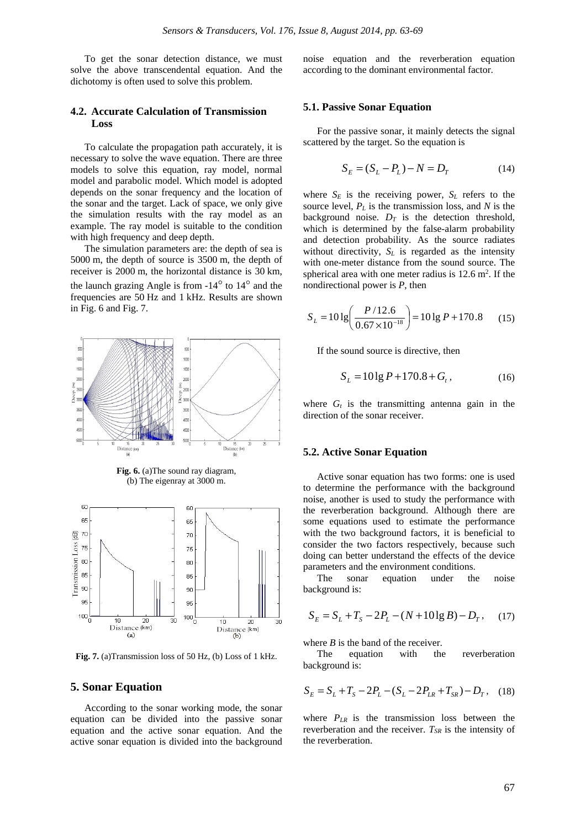To get the sonar detection distance, we must solve the above transcendental equation. And the dichotomy is often used to solve this problem.

## **4.2. Accurate Calculation of Transmission Loss**

To calculate the propagation path accurately, it is necessary to solve the wave equation. There are three models to solve this equation, ray model, normal model and parabolic model. Which model is adopted depends on the sonar frequency and the location of the sonar and the target. Lack of space, we only give the simulation results with the ray model as an example. The ray model is suitable to the condition with high frequency and deep depth.

The simulation parameters are: the depth of sea is 5000 m, the depth of source is 3500 m, the depth of receiver is 2000 m, the horizontal distance is 30 km, the launch grazing Angle is from -14° to 14° and the frequencies are 50 Hz and 1 kHz. Results are shown in Fig. 6 and Fig. 7.



**Fig. 7.** (a)Transmission loss of 50 Hz, (b) Loss of 1 kHz.

#### **5. Sonar Equation**

According to the sonar working mode, the sonar equation can be divided into the passive sonar equation and the active sonar equation. And the active sonar equation is divided into the background noise equation and the reverberation equation according to the dominant environmental factor.

#### **5.1. Passive Sonar Equation**

For the passive sonar, it mainly detects the signal scattered by the target. So the equation is

$$
S_E = (S_L - P_L) - N = D_T \tag{14}
$$

where  $S_E$  is the receiving power,  $S_L$  refers to the source level, *PL* is the transmission loss, and *N* is the background noise.  $D_T$  is the detection threshold, which is determined by the false-alarm probability and detection probability. As the source radiates without directivity,  $S_L$  is regarded as the intensity with one-meter distance from the sound source. The spherical area with one meter radius is  $12.6 \text{ m}^2$ . If the nondirectional power is *P*, then

$$
S_L = 10 \lg \left( \frac{P/12.6}{0.67 \times 10^{-18}} \right) = 10 \lg P + 170.8 \tag{15}
$$

If the sound source is directive, then

$$
S_L = 10 \lg P + 170.8 + G_t, \tag{16}
$$

where  $G_t$  is the transmitting antenna gain in the direction of the sonar receiver.

#### **5.2. Active Sonar Equation**

Active sonar equation has two forms: one is used to determine the performance with the background noise, another is used to study the performance with the reverberation background. Although there are some equations used to estimate the performance with the two background factors, it is beneficial to consider the two factors respectively, because such doing can better understand the effects of the device parameters and the environment conditions.

The sonar equation under the noise background is:

$$
S_E = S_L + T_S - 2P_L - (N + 10\lg B) - D_T, \quad (17)
$$

where  $B$  is the band of the receiver.

The equation with the reverberation background is:

$$
S_E = S_L + T_S - 2P_L - (S_L - 2P_{LR} + T_{SR}) - D_T, \quad (18)
$$

where *PLR* is the transmission loss between the reverberation and the receiver.  $T_{SR}$  is the intensity of the reverberation.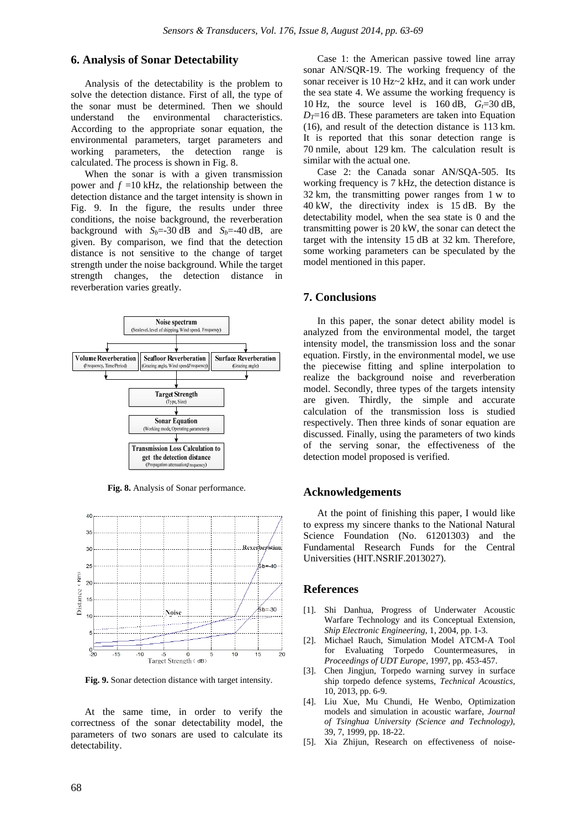## **6. Analysis of Sonar Detectability**

Analysis of the detectability is the problem to solve the detection distance. First of all, the type of the sonar must be determined. Then we should understand the environmental characteristics. According to the appropriate sonar equation, the environmental parameters, target parameters and working parameters, the detection range is calculated. The process is shown in Fig. 8.

When the sonar is with a given transmission power and  $f = 10$  kHz, the relationship between the detection distance and the target intensity is shown in Fig. 9. In the figure, the results under three conditions, the noise background, the reverberation background with  $S_b$ =-30 dB and  $S_b$ =-40 dB, are given. By comparison, we find that the detection distance is not sensitive to the change of target strength under the noise background. While the target strength changes, the detection distance in reverberation varies greatly.



**Fig. 8.** Analysis of Sonar performance.



**Fig. 9.** Sonar detection distance with target intensity.

At the same time, in order to verify the correctness of the sonar detectability model, the parameters of two sonars are used to calculate its detectability.

Case 1: the American passive towed line array sonar AN/SQR-19. The working frequency of the sonar receiver is 10 Hz~2 kHz, and it can work under the sea state 4. We assume the working frequency is 10 Hz, the source level is  $160$  dB,  $G = 30$  dB,  $D_T$ =16 dB. These parameters are taken into Equation (16), and result of the detection distance is 113 km. It is reported that this sonar detection range is 70 nmile, about 129 km. The calculation result is similar with the actual one.

Case 2: the Canada sonar AN/SQA-505. Its working frequency is 7 kHz, the detection distance is 32 km, the transmitting power ranges from 1 w to 40 kW, the directivity index is 15 dB. By the detectability model, when the sea state is 0 and the transmitting power is 20 kW, the sonar can detect the target with the intensity 15 dB at 32 km. Therefore, some working parameters can be speculated by the model mentioned in this paper.

## **7. Conclusions**

In this paper, the sonar detect ability model is analyzed from the environmental model, the target intensity model, the transmission loss and the sonar equation. Firstly, in the environmental model, we use the piecewise fitting and spline interpolation to realize the background noise and reverberation model. Secondly, three types of the targets intensity are given. Thirdly, the simple and accurate calculation of the transmission loss is studied respectively. Then three kinds of sonar equation are discussed. Finally, using the parameters of two kinds of the serving sonar, the effectiveness of the detection model proposed is verified.

## **Acknowledgements**

At the point of finishing this paper, I would like to express my sincere thanks to the National Natural Science Foundation (No. 61201303) and the Fundamental Research Funds for the Central Universities (HIT.NSRIF.2013027).

#### **References**

- [1]. Shi Danhua, Progress of Underwater Acoustic Warfare Technology and its Conceptual Extension, *Ship Electronic Engineering*, 1, 2004, pp. 1-3.
- [2]. Michael Rauch, Simulation Model ATCM-A Tool for Evaluating Torpedo Countermeasures, in *Proceedings of UDT Europe,* 1997, pp. 453-457.
- [3]. Chen Jingjun, Torpedo warning survey in surface ship torpedo defence systems, *Technical Acoustics*, 10, 2013, pp. 6-9.
- [4]. Liu Xue, Mu Chundi, He Wenbo, Optimization models and simulation in acoustic warfare, *Journal of Tsinghua University (Science and Technology),*  39, 7, 1999, pp. 18-22.
- [5]. Xia Zhijun, Research on effectiveness of noise-